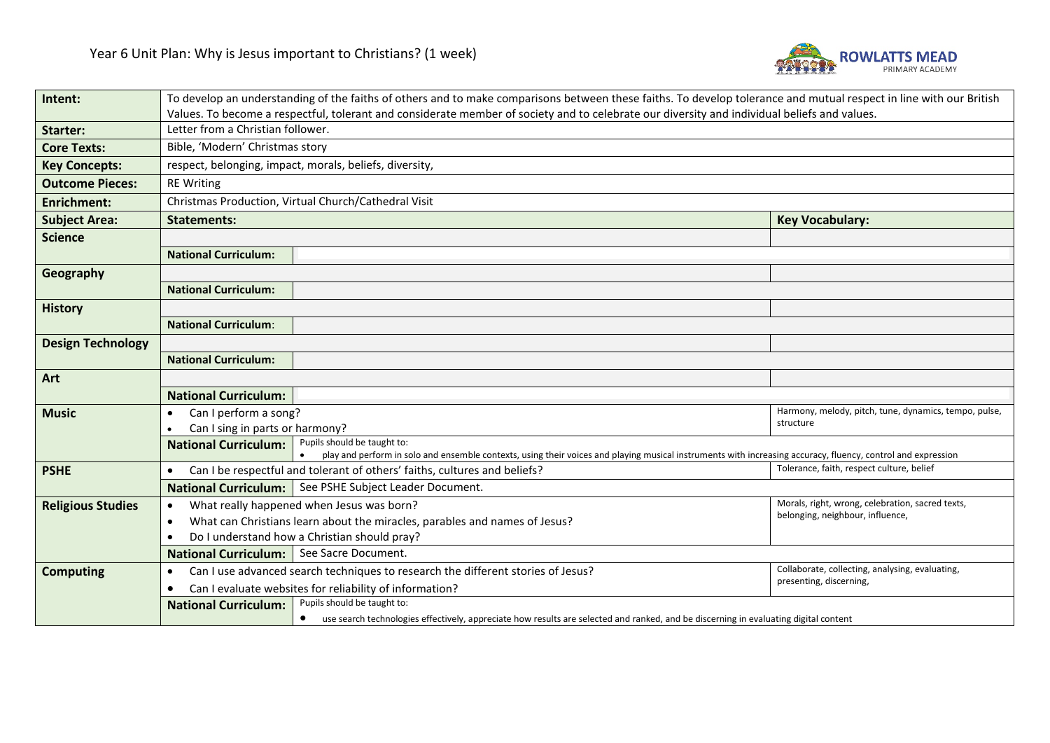

| Intent:                  | To develop an understanding of the faiths of others and to make comparisons between these faiths. To develop tolerance and mutual respect in line with our British                                                         |                                                                                                                                        |                                                       |  |  |
|--------------------------|----------------------------------------------------------------------------------------------------------------------------------------------------------------------------------------------------------------------------|----------------------------------------------------------------------------------------------------------------------------------------|-------------------------------------------------------|--|--|
|                          | Values. To become a respectful, tolerant and considerate member of society and to celebrate our diversity and individual beliefs and values.                                                                               |                                                                                                                                        |                                                       |  |  |
| Starter:                 | Letter from a Christian follower.                                                                                                                                                                                          |                                                                                                                                        |                                                       |  |  |
| <b>Core Texts:</b>       | Bible, 'Modern' Christmas story                                                                                                                                                                                            |                                                                                                                                        |                                                       |  |  |
| <b>Key Concepts:</b>     | respect, belonging, impact, morals, beliefs, diversity,                                                                                                                                                                    |                                                                                                                                        |                                                       |  |  |
| <b>Outcome Pieces:</b>   | <b>RE Writing</b>                                                                                                                                                                                                          |                                                                                                                                        |                                                       |  |  |
| <b>Enrichment:</b>       | Christmas Production, Virtual Church/Cathedral Visit                                                                                                                                                                       |                                                                                                                                        |                                                       |  |  |
| <b>Subject Area:</b>     | <b>Key Vocabulary:</b><br><b>Statements:</b>                                                                                                                                                                               |                                                                                                                                        |                                                       |  |  |
| <b>Science</b>           |                                                                                                                                                                                                                            |                                                                                                                                        |                                                       |  |  |
|                          | <b>National Curriculum:</b>                                                                                                                                                                                                |                                                                                                                                        |                                                       |  |  |
| Geography                |                                                                                                                                                                                                                            |                                                                                                                                        |                                                       |  |  |
|                          | <b>National Curriculum:</b>                                                                                                                                                                                                |                                                                                                                                        |                                                       |  |  |
| <b>History</b>           |                                                                                                                                                                                                                            |                                                                                                                                        |                                                       |  |  |
|                          | <b>National Curriculum:</b>                                                                                                                                                                                                |                                                                                                                                        |                                                       |  |  |
| <b>Design Technology</b> |                                                                                                                                                                                                                            |                                                                                                                                        |                                                       |  |  |
|                          | <b>National Curriculum:</b>                                                                                                                                                                                                |                                                                                                                                        |                                                       |  |  |
| Art                      |                                                                                                                                                                                                                            |                                                                                                                                        |                                                       |  |  |
|                          | <b>National Curriculum:</b>                                                                                                                                                                                                |                                                                                                                                        |                                                       |  |  |
| <b>Music</b>             | Can I perform a song?<br>$\bullet$                                                                                                                                                                                         |                                                                                                                                        | Harmony, melody, pitch, tune, dynamics, tempo, pulse, |  |  |
|                          | structure<br>Can I sing in parts or harmony?                                                                                                                                                                               |                                                                                                                                        |                                                       |  |  |
|                          | Pupils should be taught to:<br><b>National Curriculum:</b><br>play and perform in solo and ensemble contexts, using their voices and playing musical instruments with increasing accuracy, fluency, control and expression |                                                                                                                                        |                                                       |  |  |
| <b>PSHE</b>              |                                                                                                                                                                                                                            | Can I be respectful and tolerant of others' faiths, cultures and beliefs?                                                              | Tolerance, faith, respect culture, belief             |  |  |
|                          | National Curriculum: See PSHE Subject Leader Document.                                                                                                                                                                     |                                                                                                                                        |                                                       |  |  |
| <b>Religious Studies</b> | Morals, right, wrong, celebration, sacred texts,<br>What really happened when Jesus was born?<br>$\bullet$                                                                                                                 |                                                                                                                                        |                                                       |  |  |
|                          | belonging, neighbour, influence,<br>What can Christians learn about the miracles, parables and names of Jesus?<br>$\bullet$                                                                                                |                                                                                                                                        |                                                       |  |  |
|                          | Do I understand how a Christian should pray?<br>٠                                                                                                                                                                          |                                                                                                                                        |                                                       |  |  |
|                          | National Curriculum:   See Sacre Document.                                                                                                                                                                                 |                                                                                                                                        |                                                       |  |  |
| <b>Computing</b>         | Collaborate, collecting, analysing, evaluating,<br>Can I use advanced search techniques to research the different stories of Jesus?<br>٠                                                                                   |                                                                                                                                        |                                                       |  |  |
|                          | presenting, discerning,<br>Can I evaluate websites for reliability of information?                                                                                                                                         |                                                                                                                                        |                                                       |  |  |
|                          | <b>National Curriculum:</b>                                                                                                                                                                                                | Pupils should be taught to:                                                                                                            |                                                       |  |  |
|                          |                                                                                                                                                                                                                            | • use search technologies effectively, appreciate how results are selected and ranked, and be discerning in evaluating digital content |                                                       |  |  |